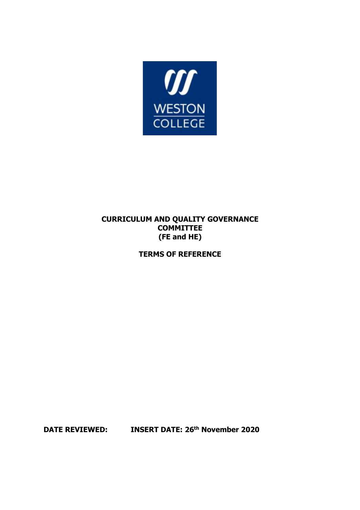

## **CURRICULUM AND QUALITY GOVERNANCE COMMITTEE (FE and HE)**

**TERMS OF REFERENCE**

**DATE REVIEWED: INSERT DATE: 26th November 2020**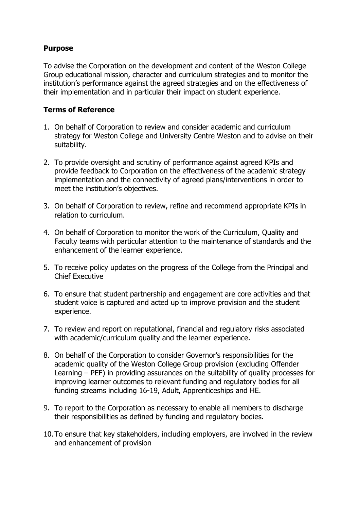## **Purpose**

To advise the Corporation on the development and content of the Weston College Group educational mission, character and curriculum strategies and to monitor the institution's performance against the agreed strategies and on the effectiveness of their implementation and in particular their impact on student experience.

## **Terms of Reference**

- 1. On behalf of Corporation to review and consider academic and curriculum strategy for Weston College and University Centre Weston and to advise on their suitability.
- 2. To provide oversight and scrutiny of performance against agreed KPIs and provide feedback to Corporation on the effectiveness of the academic strategy implementation and the connectivity of agreed plans/interventions in order to meet the institution's objectives.
- 3. On behalf of Corporation to review, refine and recommend appropriate KPIs in relation to curriculum.
- 4. On behalf of Corporation to monitor the work of the Curriculum, Quality and Faculty teams with particular attention to the maintenance of standards and the enhancement of the learner experience.
- 5. To receive policy updates on the progress of the College from the Principal and Chief Executive
- 6. To ensure that student partnership and engagement are core activities and that student voice is captured and acted up to improve provision and the student experience.
- 7. To review and report on reputational, financial and regulatory risks associated with academic/curriculum quality and the learner experience.
- 8. On behalf of the Corporation to consider Governor's responsibilities for the academic quality of the Weston College Group provision (excluding Offender Learning – PEF) in providing assurances on the suitability of quality processes for improving learner outcomes to relevant funding and regulatory bodies for all funding streams including 16-19, Adult, Apprenticeships and HE.
- 9. To report to the Corporation as necessary to enable all members to discharge their responsibilities as defined by funding and regulatory bodies.
- 10.To ensure that key stakeholders, including employers, are involved in the review and enhancement of provision